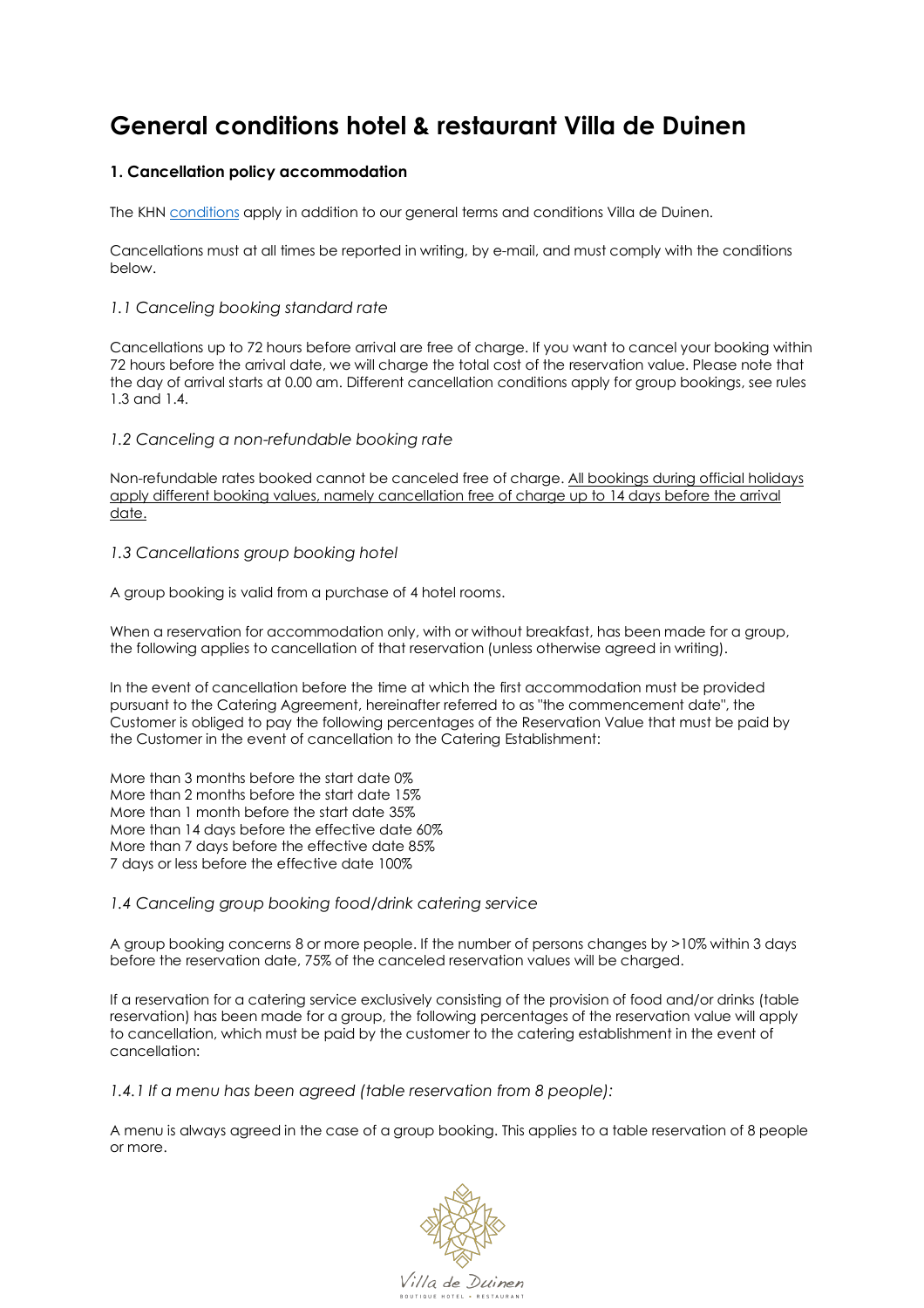# **General conditions hotel & restaurant Villa de Duinen**

## **1. Cancellation policy accommodation**

The KHN conditions apply in addition to our general terms and conditions Villa de Duinen.

Cancellations must at all times be reported in writing, by e-mail, and must comply with the conditions below.

## *1.1 Canceling booking standard rate*

Cancellations up to 72 hours before arrival are free of charge. If you want to cancel your booking within 72 hours before the arrival date, we will charge the total cost of the reservation value. Please note that the day of arrival starts at 0.00 am. Different cancellation conditions apply for group bookings, see rules 1.3 and 1.4.

## *1.2 Canceling a non-refundable booking rate*

Non-refundable rates booked cannot be canceled free of charge. All bookings during official holidays apply different booking values, namely cancellation free of charge up to 14 days before the arrival date.

## *1.3 Cancellations group booking hotel*

A group booking is valid from a purchase of 4 hotel rooms.

When a reservation for accommodation only, with or without breakfast, has been made for a group, the following applies to cancellation of that reservation (unless otherwise agreed in writing).

In the event of cancellation before the time at which the first accommodation must be provided pursuant to the Catering Agreement, hereinafter referred to as "the commencement date", the Customer is obliged to pay the following percentages of the Reservation Value that must be paid by the Customer in the event of cancellation to the Catering Establishment:

More than 3 months before the start date 0% More than 2 months before the start date 15% More than 1 month before the start date 35% More than 14 days before the effective date 60% More than 7 days before the effective date 85% 7 days or less before the effective date 100%

## *1.4 Canceling group booking food/drink catering service*

A group booking concerns 8 or more people. If the number of persons changes by >10% within 3 days before the reservation date, 75% of the canceled reservation values will be charged.

If a reservation for a catering service exclusively consisting of the provision of food and/or drinks (table reservation) has been made for a group, the following percentages of the reservation value will apply to cancellation, which must be paid by the customer to the catering establishment in the event of cancellation:

*1.4.1 If a menu has been agreed (table reservation from 8 people):*

A menu is always agreed in the case of a group booking. This applies to a table reservation of 8 people or more.